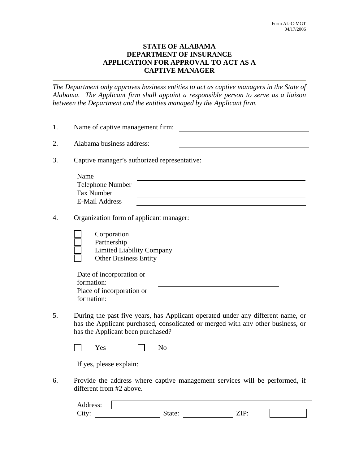## **STATE OF ALABAMA DEPARTMENT OF INSURANCE APPLICATION FOR APPROVAL TO ACT AS A CAPTIVE MANAGER**

*The Department only approves business entities to act as captive managers in the State of Alabama. The Applicant firm shall appoint a responsible person to serve as a liaison between the Department and the entities managed by the Applicant firm.* 

| 1. | Name of captive management firm:                                                                                                                                                                        |
|----|---------------------------------------------------------------------------------------------------------------------------------------------------------------------------------------------------------|
| 2. | Alabama business address:                                                                                                                                                                               |
| 3. | Captive manager's authorized representative:                                                                                                                                                            |
|    | Name<br>Telephone Number<br>Fax Number<br><b>E-Mail Address</b>                                                                                                                                         |
| 4. | Organization form of applicant manager:                                                                                                                                                                 |
|    | Corporation<br>Partnership<br><b>Limited Liability Company</b><br><b>Other Business Entity</b>                                                                                                          |
|    | Date of incorporation or<br>formation:<br>Place of incorporation or<br>formation:                                                                                                                       |
| 5. | During the past five years, has Applicant operated under any different name, or<br>has the Applicant purchased, consolidated or merged with any other business, or<br>has the Applicant been purchased? |
|    | N <sub>o</sub><br>Yes                                                                                                                                                                                   |
|    | If yes, please explain:                                                                                                                                                                                 |
| 6. | Provide the address where captive management services will be performed, if<br>different from #2 above.                                                                                                 |
|    | Address:                                                                                                                                                                                                |

City: State: State: ZIP: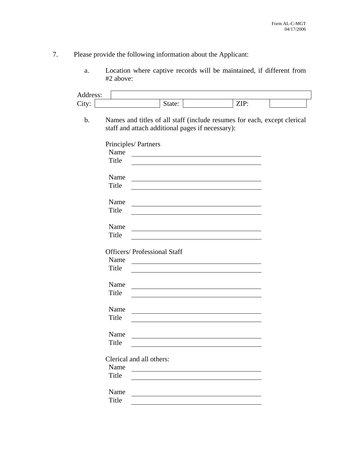## 7. Please provide the following information about the Applicant:

a. Location where captive records will be maintained, if different from #2 above:

| Address:      |       |                          |                                     |                                                                                                                              |      |  |
|---------------|-------|--------------------------|-------------------------------------|------------------------------------------------------------------------------------------------------------------------------|------|--|
| City:         |       |                          | State:                              |                                                                                                                              | ZIP: |  |
| $\mathbf b$ . |       |                          |                                     | Names and titles of all staff (include resumes for each, except clerical<br>staff and attach additional pages if necessary): |      |  |
|               |       | Principles/Partners      |                                     |                                                                                                                              |      |  |
|               | Name  |                          |                                     |                                                                                                                              |      |  |
|               | Title |                          |                                     |                                                                                                                              |      |  |
|               | Name  |                          |                                     |                                                                                                                              |      |  |
|               | Title |                          |                                     |                                                                                                                              |      |  |
|               | Name  |                          |                                     |                                                                                                                              |      |  |
|               | Title |                          |                                     |                                                                                                                              |      |  |
|               | Name  |                          |                                     |                                                                                                                              |      |  |
|               | Title |                          |                                     |                                                                                                                              |      |  |
|               |       |                          | <b>Officers/ Professional Staff</b> |                                                                                                                              |      |  |
|               | Name  |                          |                                     |                                                                                                                              |      |  |
|               | Title |                          |                                     |                                                                                                                              |      |  |
|               | Name  |                          |                                     |                                                                                                                              |      |  |
|               | Title |                          |                                     |                                                                                                                              |      |  |
|               | Name  |                          |                                     |                                                                                                                              |      |  |
|               | Title |                          |                                     |                                                                                                                              |      |  |
|               | Name  |                          |                                     |                                                                                                                              |      |  |
|               | Title |                          |                                     |                                                                                                                              |      |  |
|               |       | Clerical and all others: |                                     |                                                                                                                              |      |  |
|               | Name  |                          |                                     |                                                                                                                              |      |  |
|               | Title |                          |                                     |                                                                                                                              |      |  |
|               | Name  |                          |                                     |                                                                                                                              |      |  |
|               | Title |                          |                                     |                                                                                                                              |      |  |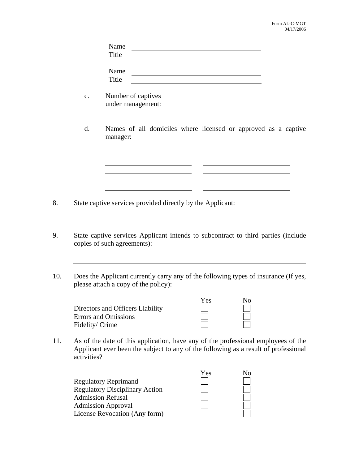| Name  |  |
|-------|--|
| Title |  |
|       |  |
| Name  |  |
| Title |  |
|       |  |

c. Number of captives under management:

<u> 1980 - Jan Barnett, fransk politik (</u>

<u> 1989 - Johann Barn, mars ann an t-Amhair an t-Amhair an t-Amhair an t-Amhair an t-Amhair an t-Amhair an t-Amh</u>

d. Names of all domiciles where licensed or approved as a captive manager:

- 8. State captive services provided directly by the Applicant:
- 9. State captive services Applicant intends to subcontract to third parties (include copies of such agreements):
- 10. Does the Applicant currently carry any of the following types of insurance (If yes, please attach a copy of the policy):

|                                  | Yes | Nο |
|----------------------------------|-----|----|
| Directors and Officers Liability |     |    |
| <b>Errors and Omissions</b>      |     |    |
| Fidelity/Crime                   |     |    |

11. As of the date of this application, have any of the professional employees of the Applicant ever been the subject to any of the following as a result of professional activities?

|                                       | Yes | No |
|---------------------------------------|-----|----|
| <b>Regulatory Reprimand</b>           |     |    |
| <b>Regulatory Disciplinary Action</b> |     |    |
| <b>Admission Refusal</b>              |     |    |
| <b>Admission Approval</b>             |     |    |
| License Revocation (Any form)         |     |    |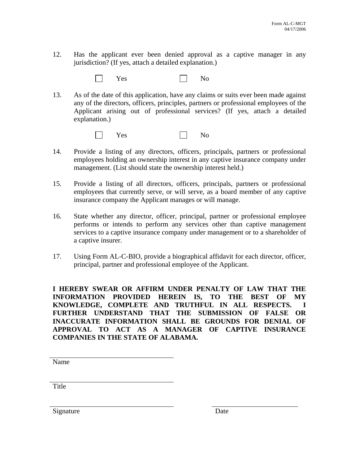12. Has the applicant ever been denied approval as a captive manager in any jurisdiction? (If yes, attach a detailed explanation.)



13. As of the date of this application, have any claims or suits ever been made against any of the directors, officers, principles, partners or professional employees of the Applicant arising out of professional services? (If yes, attach a detailed explanation.)

| Yes<br>$\mathbf{L}$ | No |
|---------------------|----|
|---------------------|----|

- 14. Provide a listing of any directors, officers, principals, partners or professional employees holding an ownership interest in any captive insurance company under management. (List should state the ownership interest held.)
- 15. Provide a listing of all directors, officers, principals, partners or professional employees that currently serve, or will serve, as a board member of any captive insurance company the Applicant manages or will manage.
- 16. State whether any director, officer, principal, partner or professional employee performs or intends to perform any services other than captive management services to a captive insurance company under management or to a shareholder of a captive insurer.
- 17. Using Form AL-C-BIO, provide a biographical affidavit for each director, officer, principal, partner and professional employee of the Applicant.

**I HEREBY SWEAR OR AFFIRM UNDER PENALTY OF LAW THAT THE INFORMATION PROVIDED HEREIN IS, TO THE BEST OF MY KNOWLEDGE, COMPLETE AND TRUTHFUL IN ALL RESPECTS. I FURTHER UNDERSTAND THAT THE SUBMISSION OF FALSE OR INACCURATE INFORMATION SHALL BE GROUNDS FOR DENIAL OF APPROVAL TO ACT AS A MANAGER OF CAPTIVE INSURANCE COMPANIES IN THE STATE OF ALABAMA.** 

Name

Title

Signature Date